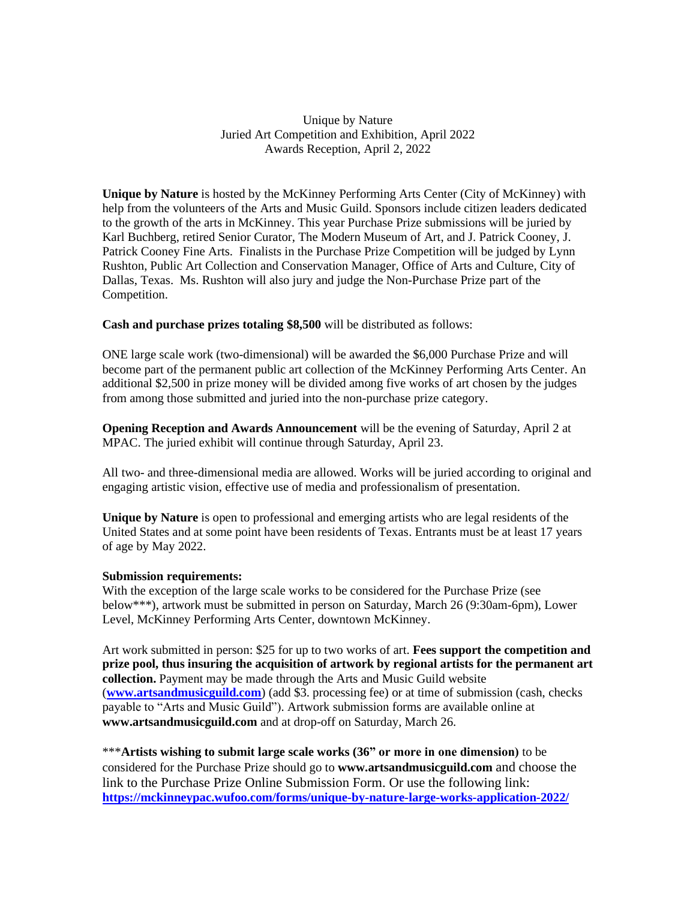Unique by Nature Juried Art Competition and Exhibition, April 2022 Awards Reception, April 2, 2022

**Unique by Nature** is hosted by the McKinney Performing Arts Center (City of McKinney) with help from the volunteers of the Arts and Music Guild. Sponsors include citizen leaders dedicated to the growth of the arts in McKinney. This year Purchase Prize submissions will be juried by Karl Buchberg, retired Senior Curator, The Modern Museum of Art, and J. Patrick Cooney, J. Patrick Cooney Fine Arts. Finalists in the Purchase Prize Competition will be judged by Lynn Rushton, Public Art Collection and Conservation Manager, Office of Arts and Culture, City of Dallas, Texas. Ms. Rushton will also jury and judge the Non-Purchase Prize part of the Competition.

**Cash and purchase prizes totaling \$8,500** will be distributed as follows:

ONE large scale work (two-dimensional) will be awarded the \$6,000 Purchase Prize and will become part of the permanent public art collection of the McKinney Performing Arts Center. An additional \$2,500 in prize money will be divided among five works of art chosen by the judges from among those submitted and juried into the non-purchase prize category.

**Opening Reception and Awards Announcement** will be the evening of Saturday, April 2 at MPAC. The juried exhibit will continue through Saturday, April 23.

All two- and three-dimensional media are allowed. Works will be juried according to original and engaging artistic vision, effective use of media and professionalism of presentation.

**Unique by Nature** is open to professional and emerging artists who are legal residents of the United States and at some point have been residents of Texas. Entrants must be at least 17 years of age by May 2022.

## **Submission requirements:**

With the exception of the large scale works to be considered for the Purchase Prize (see below\*\*\*), artwork must be submitted in person on Saturday, March 26 (9:30am-6pm), Lower Level, McKinney Performing Arts Center, downtown McKinney.

Art work submitted in person: \$25 for up to two works of art. **Fees support the competition and prize pool, thus insuring the acquisition of artwork by regional artists for the permanent art collection.** Payment may be made through the Arts and Music Guild website (**[www.artsandmusicguild.com](http://www.artsandmusicguild.com/)**) (add \$3. processing fee) or at time of submission (cash, checks payable to "Arts and Music Guild"). Artwork submission forms are available online at **www.artsandmusicguild.com** and at drop-off on Saturday, March 26.

\*\*\***Artists wishing to submit large scale works (36" or more in one dimension)** to be considered for the Purchase Prize should go to **www.artsandmusicguild.com** and choose the link to the Purchase Prize Online Submission Form. Or use the following link: **<https://mckinneypac.wufoo.com/forms/unique-by-nature-large-works-application-2022/>**